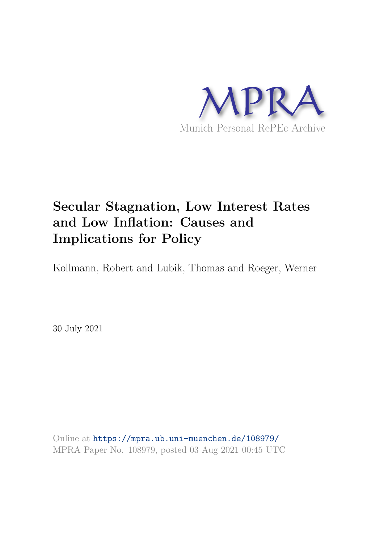

## **Secular Stagnation, Low Interest Rates and Low Inflation: Causes and Implications for Policy**

Kollmann, Robert and Lubik, Thomas and Roeger, Werner

30 July 2021

Online at https://mpra.ub.uni-muenchen.de/108979/ MPRA Paper No. 108979, posted 03 Aug 2021 00:45 UTC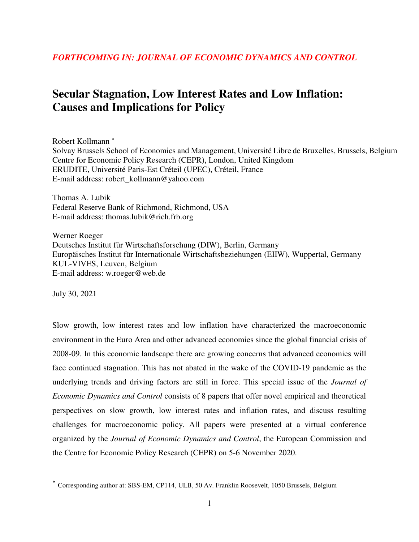## **Secular Stagnation, Low Interest Rates and Low Inflation: Causes and Implications for Policy**

Robert Kollmann Solvay Brussels School of Economics and Management, Université Libre de Bruxelles, Brussels, Belgium Centre for Economic Policy Research (CEPR), London, United Kingdom ERUDITE, Université Paris-Est Créteil (UPEC), Créteil, France E-mail address: robert\_kollmann@yahoo.com

Thomas A. Lubik Federal Reserve Bank of Richmond, Richmond, USA E-mail address: thomas.lubik@rich.frb.org

Werner Roeger Deutsches Institut für Wirtschaftsforschung (DIW), Berlin, Germany Europäisches Institut für Internationale Wirtschaftsbeziehungen (EIIW), Wuppertal, Germany KUL-VIVES, Leuven, Belgium E-mail address: w.roeger@web.de

July 30, 2021

 $\overline{a}$ 

Slow growth, low interest rates and low inflation have characterized the macroeconomic environment in the Euro Area and other advanced economies since the global financial crisis of 2008-09. In this economic landscape there are growing concerns that advanced economies will face continued stagnation. This has not abated in the wake of the COVID-19 pandemic as the underlying trends and driving factors are still in force. This special issue of the *Journal of Economic Dynamics and Control* consists of 8 papers that offer novel empirical and theoretical perspectives on slow growth, low interest rates and inflation rates, and discuss resulting challenges for macroeconomic policy. All papers were presented at a virtual conference organized by the *Journal of Economic Dynamics and Control*, the European Commission and the Centre for Economic Policy Research (CEPR) on 5-6 November 2020.

Corresponding author at: SBS-EM, CP114, ULB, 50 Av. Franklin Roosevelt, 1050 Brussels, Belgium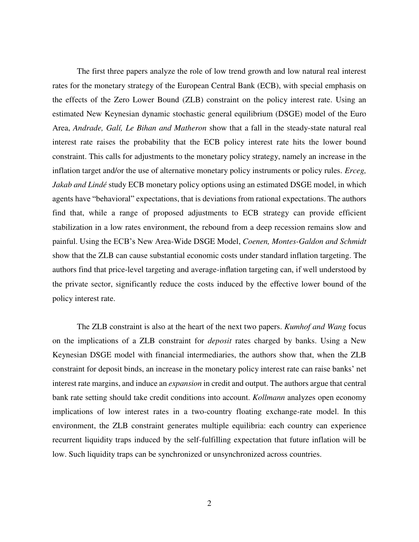The first three papers analyze the role of low trend growth and low natural real interest rates for the monetary strategy of the European Central Bank (ECB), with special emphasis on the effects of the Zero Lower Bound (ZLB) constraint on the policy interest rate. Using an estimated New Keynesian dynamic stochastic general equilibrium (DSGE) model of the Euro Area, *Andrade, Galí, Le Bihan and Matheron* show that a fall in the steady-state natural real interest rate raises the probability that the ECB policy interest rate hits the lower bound constraint. This calls for adjustments to the monetary policy strategy, namely an increase in the inflation target and/or the use of alternative monetary policy instruments or policy rules. *Erceg, Jakab and Lindé* study ECB monetary policy options using an estimated DSGE model, in which agents have "behavioral" expectations, that is deviations from rational expectations. The authors find that, while a range of proposed adjustments to ECB strategy can provide efficient stabilization in a low rates environment, the rebound from a deep recession remains slow and painful. Using the ECB's New Area-Wide DSGE Model, *Coenen, Montes-Galdon and Schmidt*  show that the ZLB can cause substantial economic costs under standard inflation targeting. The authors find that price-level targeting and average-inflation targeting can, if well understood by the private sector, significantly reduce the costs induced by the effective lower bound of the policy interest rate.

The ZLB constraint is also at the heart of the next two papers. *Kumhof and Wang* focus on the implications of a ZLB constraint for *deposit* rates charged by banks. Using a New Keynesian DSGE model with financial intermediaries, the authors show that, when the ZLB constraint for deposit binds, an increase in the monetary policy interest rate can raise banks' net interest rate margins, and induce an *expansion* in credit and output. The authors argue that central bank rate setting should take credit conditions into account. *Kollmann* analyzes open economy implications of low interest rates in a two-country floating exchange-rate model. In this environment, the ZLB constraint generates multiple equilibria: each country can experience recurrent liquidity traps induced by the self-fulfilling expectation that future inflation will be low. Such liquidity traps can be synchronized or unsynchronized across countries.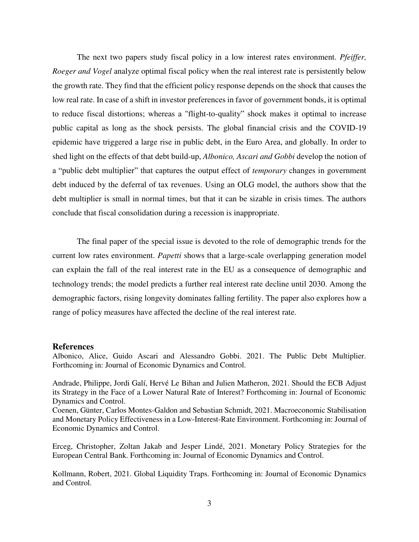The next two papers study fiscal policy in a low interest rates environment. *Pfeiffer, Roeger and Vogel* analyze optimal fiscal policy when the real interest rate is persistently below the growth rate. They find that the efficient policy response depends on the shock that causes the low real rate. In case of a shift in investor preferences in favor of government bonds, it is optimal to reduce fiscal distortions; whereas a "flight-to-quality" shock makes it optimal to increase public capital as long as the shock persists. The global financial crisis and the COVID-19 epidemic have triggered a large rise in public debt, in the Euro Area, and globally. In order to shed light on the effects of that debt build-up, *Albonico, Ascari and Gobbi* develop the notion of a "public debt multiplier" that captures the output effect of *temporary* changes in government debt induced by the deferral of tax revenues. Using an OLG model, the authors show that the debt multiplier is small in normal times, but that it can be sizable in crisis times. The authors conclude that fiscal consolidation during a recession is inappropriate.

The final paper of the special issue is devoted to the role of demographic trends for the current low rates environment. *Papetti* shows that a large-scale overlapping generation model can explain the fall of the real interest rate in the EU as a consequence of demographic and technology trends; the model predicts a further real interest rate decline until 2030. Among the demographic factors, rising longevity dominates falling fertility. The paper also explores how a range of policy measures have affected the decline of the real interest rate.

## **References**

Albonico, Alice, Guido Ascari and Alessandro Gobbi. 2021. The Public Debt Multiplier. Forthcoming in: Journal of Economic Dynamics and Control.

Andrade, Philippe, Jordi Galí, Hervé Le Bihan and Julien Matheron, 2021. Should the ECB Adjust its Strategy in the Face of a Lower Natural Rate of Interest? Forthcoming in: Journal of Economic Dynamics and Control.

Coenen, Günter, Carlos Montes-Galdon and Sebastian Schmidt, 2021. Macroeconomic Stabilisation and Monetary Policy Effectiveness in a Low-Interest-Rate Environment. Forthcoming in: Journal of Economic Dynamics and Control.

Erceg, Christopher, Zoltan Jakab and Jesper Lindé, 2021. Monetary Policy Strategies for the European Central Bank. Forthcoming in: Journal of Economic Dynamics and Control.

Kollmann, Robert, 2021. Global Liquidity Traps. Forthcoming in: Journal of Economic Dynamics and Control.